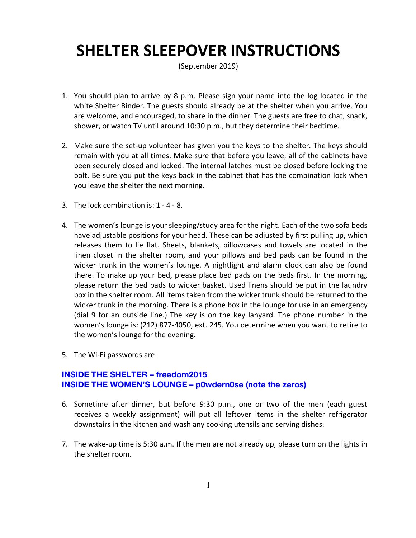## **SHELTER SLEEPOVER INSTRUCTIONS**

(September 2019)

- 1. You should plan to arrive by 8 p.m. Please sign your name into the log located in the white Shelter Binder. The guests should already be at the shelter when you arrive. You are welcome, and encouraged, to share in the dinner. The guests are free to chat, snack, shower, or watch TV until around 10:30 p.m., but they determine their bedtime.
- 2. Make sure the set-up volunteer has given you the keys to the shelter. The keys should remain with you at all times. Make sure that before you leave, all of the cabinets have been securely closed and locked. The internal latches must be closed before locking the bolt. Be sure you put the keys back in the cabinet that has the combination lock when you leave the shelter the next morning.
- 3. The lock combination is: 1 4 8.
- 4. The women's lounge is your sleeping/study area for the night. Each of the two sofa beds have adjustable positions for your head. These can be adjusted by first pulling up, which releases them to lie flat. Sheets, blankets, pillowcases and towels are located in the linen closet in the shelter room, and your pillows and bed pads can be found in the wicker trunk in the women's lounge. A nightlight and alarm clock can also be found there. To make up your bed, please place bed pads on the beds first. In the morning, please return the bed pads to wicker basket. Used linens should be put in the laundry box in the shelter room. All items taken from the wicker trunk should be returned to the wicker trunk in the morning. There is a phone box in the lounge for use in an emergency (dial 9 for an outside line.) The key is on the key lanyard. The phone number in the women's lounge is: (212) 877-4050, ext. 245. You determine when you want to retire to the women's lounge for the evening.
- 5. The Wi-Fi passwords are:

## **INSIDE THE SHELTER – freedom2015 INSIDE THE WOMEN'S LOUNGE – p0wdern0se (note the zeros)**

- 6. Sometime after dinner, but before 9:30 p.m., one or two of the men (each guest receives a weekly assignment) will put all leftover items in the shelter refrigerator downstairs in the kitchen and wash any cooking utensils and serving dishes.
- 7. The wake-up time is 5:30 a.m. If the men are not already up, please turn on the lights in the shelter room.